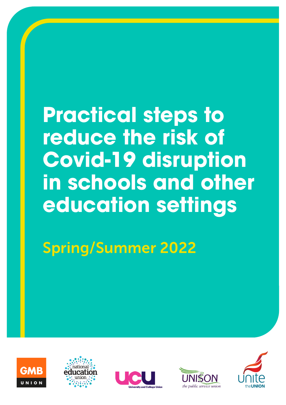# **Practical steps to reduce the risk of Covid-19 disruption in schools and other education settings**

Spring/Summer 2022









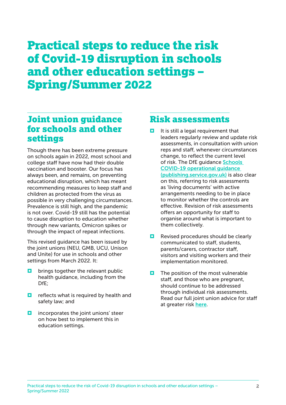## Practical steps to reduce the risk of Covid-19 disruption in schools and other education settings – Spring/Summer 2022

#### Joint union guidance for schools and other settings

Though there has been extreme pressure on schools again in 2022, most school and college staff have now had their double vaccination and booster. Our focus has always been, and remains, on preventing educational disruption, which has meant recommending measures to keep staff and children as protected from the virus as possible in very challenging circumstances. Prevalence is still high, and the pandemic is not over. Covid-19 still has the potential to cause disruption to education whether through new variants, Omicron spikes or through the impact of repeat infections.

This revised guidance has been issued by the joint unions (NEU, GMB, UCU, Unison and Unite) for use in schools and other settings from March 2022. It:

- $\Box$  brings together the relevant public health guidance, including from the DfE;
- $\Box$  reflects what is required by health and safety law; and
- $\blacksquare$  incorporates the joint unions' steer on how best to implement this in education settings.

#### Risk assessments

- $\blacksquare$  It is still a legal requirement that leaders regularly review and update risk assessments, in consultation with union reps and staff, whenever circumstances change, to reflect the current level of risk. The DfE guidance [Schools](https://assets.publishing.service.gov.uk/government/uploads/system/uploads/attachment_data/file/1057106/220224_Schools_guidance.pdf)  [COVID-19 operational guidance](https://assets.publishing.service.gov.uk/government/uploads/system/uploads/attachment_data/file/1057106/220224_Schools_guidance.pdf)  [\(publishing.service.gov.uk\)](https://assets.publishing.service.gov.uk/government/uploads/system/uploads/attachment_data/file/1057106/220224_Schools_guidance.pdf) is also clear on this, referring to risk assessments as 'living documents' with active arrangements needing to be in place to monitor whether the controls are effective. Revision of risk assessments offers an opportunity for staff to organise around what is important to them collectively.
- $\Box$  Revised procedures should be clearly communicated to staff, students, parents/carers, contractor staff, visitors and visiting workers and their implementation monitored.
- $\blacksquare$  The position of the most vulnerable staff, and those who are pregnant, should continue to be addressed through individual risk assessments. Read our full joint union advice for staff at greater risk [here](https://neu.org.uk/advice/high-risk-groups).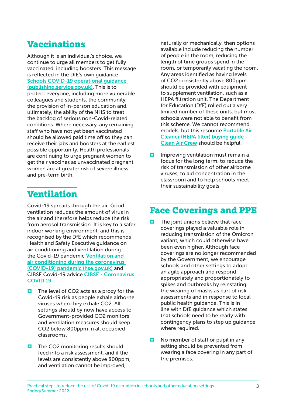#### Vaccinations

Although it is an individual's choice, we continue to urge all members to get fully vaccinated, including boosters. This message is reflected in the DfE's own guidance [Schools COVID-19 operational guidance](https://assets.publishing.service.gov.uk/government/uploads/system/uploads/attachment_data/file/1057106/220224_Schools_guidance.pdf)  [\(publishing.service.gov.uk\)](https://assets.publishing.service.gov.uk/government/uploads/system/uploads/attachment_data/file/1057106/220224_Schools_guidance.pdf). This is to protect everyone, including more vulnerable colleagues and students, the community, the provision of in-person education and, ultimately, the ability of the NHS to treat the backlog of serious non-Covid-related conditions. Where necessary, any remaining staff who have not yet been vaccinated should be allowed paid time off so they can receive their jabs and boosters at the earliest possible opportunity. Health professionals are continuing to urge pregnant women to get their vaccines as unvaccinated pregnant women are at greater risk of severe illness and pre-term birth.

#### Ventilation

Covid-19 spreads through the air. Good ventilation reduces the amount of virus in the air and therefore helps reduce the risk from aerosol transmission. It is key to a safer indoor working environment, and this is recognised by the DfE which recommends Health and Safety Executive guidance on air conditioning and ventilation during the Covid-19 pandemic [Ventilation and](https://www.hse.gov.uk/coronavirus/equipment-and-machinery/air-conditioning-and-ventilation/index.htm)  [air conditioning during the coronavirus](https://www.hse.gov.uk/coronavirus/equipment-and-machinery/air-conditioning-and-ventilation/index.htm)  [\(COVID-19\) pandemic \(hse.gov.uk\)](https://www.hse.gov.uk/coronavirus/equipment-and-machinery/air-conditioning-and-ventilation/index.htm) and CIBSE Covid-19 advice [CIBSE - Coronavirus](https://www.cibse.org/coronavirus-covid-19)  [COVID 19](https://www.cibse.org/coronavirus-covid-19).

- $\Box$  The level of CO2 acts as a proxy for the Covid-19 risk as people exhale airborne viruses when they exhale CO2. All settings should by now have access to Government-provided CO2 monitors and ventilation measures should keep CO2 below 800ppm in all occupied classrooms.
- $\Box$  The CO2 monitoring results should feed into a risk assessment, and if the levels are consistently above 800ppm, and ventilation cannot be improved,

naturally or mechanically, then options available include reducing the number of people in the room, reducing the length of time groups spend in the room, or temporarily vacating the room. Any areas identified as having levels of CO2 consistently above 800ppm should be provided with equipment to supplement ventilation, such as a HEPA filtration unit. The Department for Education (DfE) rolled out a very limited number of these units, but most schools were not able to benefit from this scheme. We cannot recommend models, but this resource [Portable Air](https://cleanaircrew.org/air-cleaners/)  [Cleaner \(HEPA filter\) buying guide -](https://cleanaircrew.org/air-cleaners/)  [Clean Air Crew](https://cleanaircrew.org/air-cleaners/) should be helpful.

 $\Box$  Improving ventilation must remain a focus for the long term, to reduce the risk of transmission of other airborne viruses, to aid concentration in the classroom and to help schools meet their sustainability goals.

#### Face Coverings and PPE

- $\Box$  The joint unions believe that face coverings played a valuable role in reducing transmission of the Omicron variant, which could otherwise have been even higher. Although face coverings are no longer recommended by the Government, we encourage schools and other settings to adopt an agile approach and respond appropriately and proportionately to spikes and outbreaks by reinstating the wearing of masks as part of risk assessments and in response to local public health guidance. This is in line with DfE guidance which states that schools need to be ready with contingency plans to step up guidance where required.
- $\Box$  No member of staff or pupil in any setting should be prevented from wearing a face covering in any part of the premises.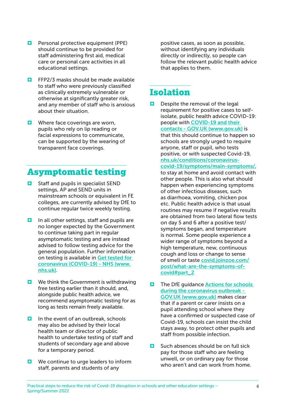- $\blacksquare$  Personal protective equipment (PPE) should continue to be provided for staff administering first aid, medical care or personal care activities in all educational settings.
- $\Box$  FFP2/3 masks should be made available to staff who were previously classified as clinically extremely vulnerable or otherwise at significantly greater risk, and any member of staff who is anxious about their situation.
- $\blacksquare$  Where face coverings are worn, pupils who rely on lip reading or facial expressions to communicate, can be supported by the wearing of transparent face coverings.

#### Asymptomatic testing

- $\Box$  Staff and pupils in specialist SEND settings, AP and SEND units in mainstream schools or equivalent in FE colleges, are currently advised by DfE to continue regular twice weekly testing.
- $\Box$  In all other settings, staff and pupils are no longer expected by the Government to continue taking part in regular asymptomatic testing and are instead advised to follow testing advice for the general population. Further information on testing is available in [Get tested for](https://www.nhs.uk/conditions/coronavirus-covid-19/testing/get-tested-for-coronavirus/)  [coronavirus \(COVID-19\) - NHS \(www.](https://www.nhs.uk/conditions/coronavirus-covid-19/testing/get-tested-for-coronavirus/) [nhs.uk\)](https://www.nhs.uk/conditions/coronavirus-covid-19/testing/get-tested-for-coronavirus/).
- $\Box$  We think the Government is withdrawing free testing earlier than it should, and, alongside public health advice, we recommend asymptomatic testing for as long as tests remain freely available.
- $\Box$  In the event of an outbreak, schools may also be advised by their local health team or director of public health to undertake testing of staff and students of secondary age and above for a temporary period.
- $\blacksquare$  We continue to urge leaders to inform staff, parents and students of any

positive cases, as soon as possible, without identifying any individuals directly or indirectly, so people can follow the relevant public health advice that applies to them.

#### Isolation

- $\Box$  Despite the removal of the legal requirement for positive cases to selfisolate, public health advice COVID-19: people with [COVID-19 and their](https://www.gov.uk/government/publications/covid-19-people-with-covid-19-and-their-contacts/covid-19-people-with-covid-19-and-their-contacts)  [contacts - GOV.UK \(www.gov.uk\)](https://www.gov.uk/government/publications/covid-19-people-with-covid-19-and-their-contacts/covid-19-people-with-covid-19-and-their-contacts) is that this should continue to happen so schools are strongly urged to require anyone, staff or pupil, who tests positive, or with suspected Covid-19, [nhs.uk/conditions/coronavirus](https://www.nhs.uk/conditions/coronavirus-covid-19/symptoms/main-symptoms/)[covid-19/symptoms/main-symptoms/](https://www.nhs.uk/conditions/coronavirus-covid-19/symptoms/main-symptoms/), to stay at home and avoid contact with other people. This is also what should happen when experiencing symptoms of other infectious diseases, such as diarrhoea, vomiting, chicken pox etc. Public health advice is that usual routines may resume if negative results are obtained from two lateral flow tests on day 5 and 6 after a positive test/ symptoms began, and temperature is normal. Some people experience a wider range of symptoms beyond a high temperature, new, continuous cough and loss or change to sense of smell or taste [covid.joinzoe.com/](https://covid.joinzoe.com/post/what-are-the-symptoms-of-covid#part_2) [post/what-are-the-symptoms-of](https://covid.joinzoe.com/post/what-are-the-symptoms-of-covid#part_2)[covid#part\\_2](https://covid.joinzoe.com/post/what-are-the-symptoms-of-covid#part_2)
- $\Box$  The DfE quidance Actions for schools [during the coronavirus outbreak -](https://www.gov.uk/government/publications/actions-for-schools-during-the-coronavirus-outbreak)  [GOV.UK \(www.gov.uk\)](https://www.gov.uk/government/publications/actions-for-schools-during-the-coronavirus-outbreak) makes clear that if a parent or carer insists on a pupil attending school where they have a confirmed or suspected case of Covid-19, schools can insist the child stays away, to protect other pupils and staff from possible infection.
- $\Box$  Such absences should be on full sick pay for those staff who are feeling unwell, or on ordinary pay for those who aren't and can work from home.